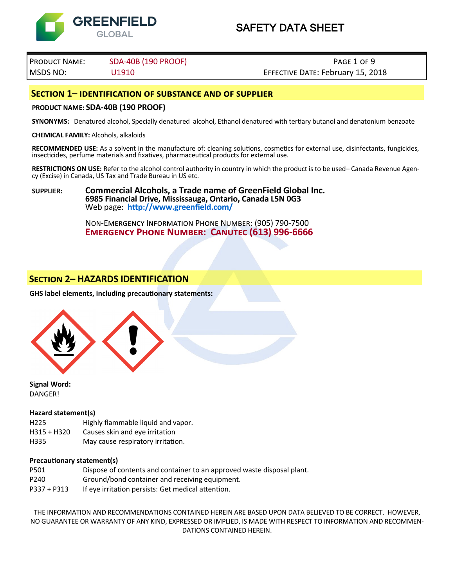

# Product Name: SDA-40B (190 PROOF) Page 1 of 9 MSDS NO: U1910 Effective Date: February 15, 2018

## **Section 1– identification of substance and of supplier**

#### **PRODUCT NAME: SDA-40B (190 PROOF)**

**SYNONYMS:** Denatured alcohol, Specially denatured alcohol, Ethanol denatured with tertiary butanol and denatonium benzoate

**CHEMICAL FAMILY:** Alcohols, alkaloids

**RECOMMENDED USE:** As a solvent in the manufacture of: cleaning solutions, cosmetics for external use, disinfectants, fungicides, insecticides, perfume materials and fixatives, pharmaceutical products for external use.

**RESTRICTIONS ON USE:** Refer to the alcohol control authority in country in which the product is to be used– Canada Revenue Agency (Excise) in Canada, US Tax and Trade Bureau in US etc.

**SUPPLIER: Commercial Alcohols, a Trade name of GreenField Global Inc. 6985 Financial Drive, Mississauga, Ontario, Canada L5N 0G3** Web page: **http://www.greenfield.com/**

> Non-Emergency Information Phone Number: (905) 790-7500 **Emergency Phone Number: Canutec (613) 996-6666**

# **Section 2– HAZARDS IDENTIFICATION**

**GHS label elements, including precautionary statements:** 



**Signal Word: DANGER!** 

#### **Hazard statement(s)**

- H225 Highly flammable liquid and vapor.
- H315 + H320 Causes skin and eye irritation
- H335 May cause respiratory irritation.

#### **Precautionary statement(s)**

- P501 Dispose of contents and container to an approved waste disposal plant. P240 Ground/bond container and receiving equipment.
- P337 + P313 If eye irritation persists: Get medical attention.

THE INFORMATION AND RECOMMENDATIONS CONTAINED HEREIN ARE BASED UPON DATA BELIEVED TO BE CORRECT. HOWEVER, NO GUARANTEE OR WARRANTY OF ANY KIND, EXPRESSED OR IMPLIED, IS MADE WITH RESPECT TO INFORMATION AND RECOMMEN-DATIONS CONTAINED HEREIN.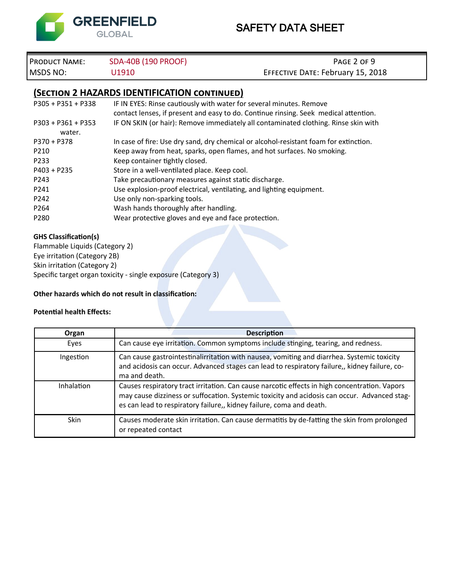

# PRODUCT NAME: SDA-40B (190 PROOF) **PAGE 2 OF 9 PAGE 2 OF 9** MSDS NO: U1910 U1910 EFFECTIVE DATE: February 15, 2018

# **(Section 2 HAZARDS IDENTIFICATION continued)**

| $P305 + P351 + P338$ | IF IN EYES: Rinse cautiously with water for several minutes. Remove                   |
|----------------------|---------------------------------------------------------------------------------------|
|                      | contact lenses, if present and easy to do. Continue rinsing. Seek medical attention.  |
| $P303 + P361 + P353$ | IF ON SKIN (or hair): Remove immediately all contaminated clothing. Rinse skin with   |
| water.               |                                                                                       |
| $P370 + P378$        | In case of fire: Use dry sand, dry chemical or alcohol-resistant foam for extinction. |
| P210                 | Keep away from heat, sparks, open flames, and hot surfaces. No smoking.               |
| P233                 | Keep container tightly closed.                                                        |
| $P403 + P235$        | Store in a well-ventilated place. Keep cool.                                          |
| P243                 | Take precautionary measures against static discharge.                                 |
| P241                 | Use explosion-proof electrical, ventilating, and lighting equipment.                  |
| P242                 | Use only non-sparking tools.                                                          |
| P <sub>264</sub>     | Wash hands thoroughly after handling.                                                 |
| P280                 | Wear protective gloves and eye and face protection.                                   |
|                      |                                                                                       |

### **GHS Classification(s)**

Flammable Liquids (Category 2) Eye irritation (Category 2B) Skin irritation (Category 2) Specific target organ toxicity - single exposure (Category 3)

#### **Other hazards which do not result in classification:**

#### **Potential health Effects:**

| Organ             | <b>Description</b>                                                                                                                                                                                                                                                    |  |  |
|-------------------|-----------------------------------------------------------------------------------------------------------------------------------------------------------------------------------------------------------------------------------------------------------------------|--|--|
| Eyes              | Can cause eye irritation. Common symptoms include stinging, tearing, and redness.                                                                                                                                                                                     |  |  |
| Ingestion         | Can cause gastrointestinalirritation with nausea, vomiting and diarrhea. Systemic toxicity<br>and acidosis can occur. Advanced stages can lead to respiratory failure,, kidney failure, co-<br>ma and death.                                                          |  |  |
| <b>Inhalation</b> | Causes respiratory tract irritation. Can cause narcotic effects in high concentration. Vapors<br>may cause dizziness or suffocation. Systemic toxicity and acidosis can occur. Advanced stag-<br>es can lead to respiratory failure,, kidney failure, coma and death. |  |  |
| <b>Skin</b>       | Causes moderate skin irritation. Can cause dermatitis by de-fatting the skin from prolonged<br>or repeated contact                                                                                                                                                    |  |  |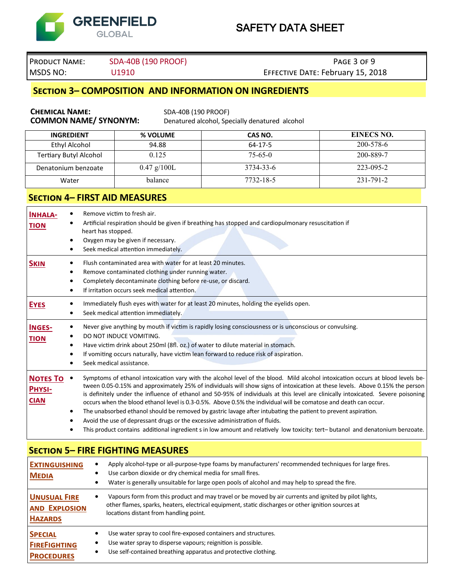

# PRODUCT NAME: SDA-40B (190 PROOF) **PRODUCT NAME:** SDA-40B (190 PROOF)

# MSDS NO: U1910 U1910 EFFECTIVE DATE: February 15, 2018

# **Section 3– COMPOSITION AND INFORMATION ON INGREDIENTS**

| <b>CHEMICAL NAME:</b><br><b>COMMON NAME/ SYNONYM:</b>                                                                                                                                                                                                                                                                                                                                                                                                                                                                                                                                                                                                                                                                                                                                                                                                                                                                                   | SDA-40B (190 PROOF)                                                                                                                                                                                                                                                                                                                        | Denatured alcohol, Specially denatured alcohol                                                                                                                                                           |                   |  |  |
|-----------------------------------------------------------------------------------------------------------------------------------------------------------------------------------------------------------------------------------------------------------------------------------------------------------------------------------------------------------------------------------------------------------------------------------------------------------------------------------------------------------------------------------------------------------------------------------------------------------------------------------------------------------------------------------------------------------------------------------------------------------------------------------------------------------------------------------------------------------------------------------------------------------------------------------------|--------------------------------------------------------------------------------------------------------------------------------------------------------------------------------------------------------------------------------------------------------------------------------------------------------------------------------------------|----------------------------------------------------------------------------------------------------------------------------------------------------------------------------------------------------------|-------------------|--|--|
| <b>INGREDIENT</b>                                                                                                                                                                                                                                                                                                                                                                                                                                                                                                                                                                                                                                                                                                                                                                                                                                                                                                                       | % VOLUME                                                                                                                                                                                                                                                                                                                                   | CAS NO.                                                                                                                                                                                                  | <b>EINECS NO.</b> |  |  |
| <b>Ethyl Alcohol</b>                                                                                                                                                                                                                                                                                                                                                                                                                                                                                                                                                                                                                                                                                                                                                                                                                                                                                                                    | 94.88                                                                                                                                                                                                                                                                                                                                      | $64 - 17 - 5$                                                                                                                                                                                            | 200-578-6         |  |  |
| 0.125<br>$75 - 65 - 0$<br>200-889-7<br><b>Tertiary Butyl Alcohol</b>                                                                                                                                                                                                                                                                                                                                                                                                                                                                                                                                                                                                                                                                                                                                                                                                                                                                    |                                                                                                                                                                                                                                                                                                                                            |                                                                                                                                                                                                          |                   |  |  |
| Denatonium benzoate                                                                                                                                                                                                                                                                                                                                                                                                                                                                                                                                                                                                                                                                                                                                                                                                                                                                                                                     | $0.47$ g/100L                                                                                                                                                                                                                                                                                                                              | 3734-33-6                                                                                                                                                                                                | 223-095-2         |  |  |
| Water                                                                                                                                                                                                                                                                                                                                                                                                                                                                                                                                                                                                                                                                                                                                                                                                                                                                                                                                   | balance                                                                                                                                                                                                                                                                                                                                    | 7732-18-5                                                                                                                                                                                                | 231-791-2         |  |  |
| <b>SECTION 4- FIRST AID MEASURES</b>                                                                                                                                                                                                                                                                                                                                                                                                                                                                                                                                                                                                                                                                                                                                                                                                                                                                                                    |                                                                                                                                                                                                                                                                                                                                            |                                                                                                                                                                                                          |                   |  |  |
| <b>INHALA-</b><br>٠<br>$\bullet$<br><b>TION</b><br>heart has stopped.<br>$\bullet$<br>٠                                                                                                                                                                                                                                                                                                                                                                                                                                                                                                                                                                                                                                                                                                                                                                                                                                                 | Remove victim to fresh air.<br>Oxygen may be given if necessary.<br>Seek medical attention immediately.                                                                                                                                                                                                                                    | Artificial respiration should be given if breathing has stopped and cardiopulmonary resuscitation if                                                                                                     |                   |  |  |
| <b>SKIN</b><br>٠<br>٠<br>٠<br>$\bullet$                                                                                                                                                                                                                                                                                                                                                                                                                                                                                                                                                                                                                                                                                                                                                                                                                                                                                                 | Flush contaminated area with water for at least 20 minutes.<br>Remove contaminated clothing under running water.<br>Completely decontaminate clothing before re-use, or discard.<br>If irritation occurs seek medical attention.                                                                                                           |                                                                                                                                                                                                          |                   |  |  |
| <b>EYES</b><br>٠                                                                                                                                                                                                                                                                                                                                                                                                                                                                                                                                                                                                                                                                                                                                                                                                                                                                                                                        | Immediately flush eyes with water for at least 20 minutes, holding the eyelids open.<br>Seek medical attention immediately.                                                                                                                                                                                                                |                                                                                                                                                                                                          |                   |  |  |
| INGES-<br>٠<br><b>TION</b><br>٠<br>٠<br>٠                                                                                                                                                                                                                                                                                                                                                                                                                                                                                                                                                                                                                                                                                                                                                                                                                                                                                               | Never give anything by mouth if victim is rapidly losing consciousness or is unconscious or convulsing.<br>DO NOT INDUCE VOMITING.<br>Have victim drink about 250ml (8fl. oz.) of water to dilute material in stomach.<br>If vomiting occurs naturally, have victim lean forward to reduce risk of aspiration.<br>Seek medical assistance. |                                                                                                                                                                                                          |                   |  |  |
| Symptoms of ethanol intoxication vary with the alcohol level of the blood. Mild alcohol intoxication occurs at blood levels be-<br><b>NOTES TO</b><br>$\bullet$<br>tween 0.05-0.15% and approximately 25% of individuals will show signs of intoxication at these levels. Above 0.15% the person<br><b>PHYSI-</b><br>is definitely under the influence of ethanol and 50-95% of individuals at this level are clinically intoxicated. Severe poisoning<br><b>CIAN</b><br>occurs when the blood ethanol level is 0.3-0.5%. Above 0.5% the individual will be comatose and death can occur.<br>The unabsorbed ethanol should be removed by gastric lavage after intubating the patient to prevent aspiration.<br>٠<br>Avoid the use of depressant drugs or the excessive administration of fluids.<br>0<br>This product contains additional ingredient s in low amount and relatively low toxicity: tert-butanol and denatonium benzoate. |                                                                                                                                                                                                                                                                                                                                            |                                                                                                                                                                                                          |                   |  |  |
| <b>SECTION 5- FIRE FIGHTING MEASURES</b>                                                                                                                                                                                                                                                                                                                                                                                                                                                                                                                                                                                                                                                                                                                                                                                                                                                                                                |                                                                                                                                                                                                                                                                                                                                            |                                                                                                                                                                                                          |                   |  |  |
| <b>EXTINGUISHING</b><br><b>MEDIA</b><br>$\bullet$                                                                                                                                                                                                                                                                                                                                                                                                                                                                                                                                                                                                                                                                                                                                                                                                                                                                                       | Use carbon dioxide or dry chemical media for small fires.                                                                                                                                                                                                                                                                                  | Apply alcohol-type or all-purpose-type foams by manufacturers' recommended techniques for large fires.<br>Water is generally unsuitable for large open pools of alcohol and may help to spread the fire. |                   |  |  |
| <b>UNUSUAL FIRE</b><br>$\bullet$<br><b>AND EXPLOSION</b><br><b>HAZARDS</b>                                                                                                                                                                                                                                                                                                                                                                                                                                                                                                                                                                                                                                                                                                                                                                                                                                                              | Vapours form from this product and may travel or be moved by air currents and ignited by pilot lights,<br>other flames, sparks, heaters, electrical equipment, static discharges or other ignition sources at<br>locations distant from handling point.                                                                                    |                                                                                                                                                                                                          |                   |  |  |
| <b>SPECIAL</b><br><b>FIREFIGHTING</b><br>$\bullet$<br><b>PROCEDURES</b>                                                                                                                                                                                                                                                                                                                                                                                                                                                                                                                                                                                                                                                                                                                                                                                                                                                                 | Use water spray to cool fire-exposed containers and structures.<br>Use water spray to disperse vapours; reignition is possible.<br>Use self-contained breathing apparatus and protective clothing.                                                                                                                                         |                                                                                                                                                                                                          |                   |  |  |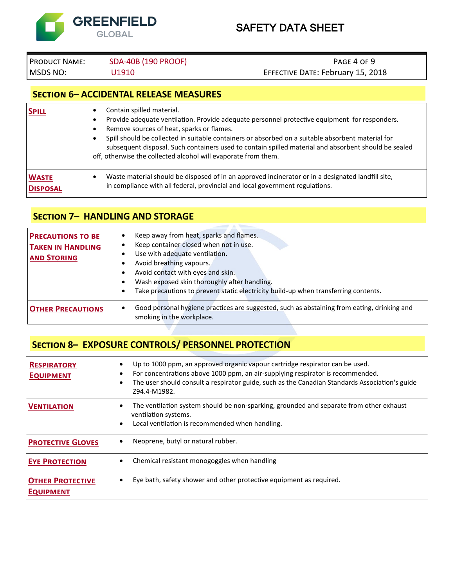

# PRODUCT NAME: SDA-40B (190 PROOF) **PRODUCT NAME:** SDA-40B (190 PROOF)

# MSDS NO: U1910 U1910 UNIVERSITY EFFECTIVE DATE: February 15, 2018

# **Section 6– ACCIDENTAL RELEASE MEASURES**

| <b>SPILL</b>    | Contain spilled material.<br>Provide adequate ventilation. Provide adequate personnel protective equipment for responders.<br>Remove sources of heat, sparks or flames.<br>Spill should be collected in suitable containers or absorbed on a suitable absorbent material for<br>subsequent disposal. Such containers used to contain spilled material and absorbent should be sealed<br>off, otherwise the collected alcohol will evaporate from them. |
|-----------------|--------------------------------------------------------------------------------------------------------------------------------------------------------------------------------------------------------------------------------------------------------------------------------------------------------------------------------------------------------------------------------------------------------------------------------------------------------|
| <b>WASTE</b>    | Waste material should be disposed of in an approved incinerator or in a designated landfill site,                                                                                                                                                                                                                                                                                                                                                      |
| <b>DISPOSAL</b> | in compliance with all federal, provincial and local government regulations.                                                                                                                                                                                                                                                                                                                                                                           |

# **Section 7– HANDLING AND STORAGE**

| <b>PRECAUTIONS TO BE</b><br><b>TAKEN IN HANDLING</b><br><b>AND STORING</b> | Keep away from heat, sparks and flames.<br>Keep container closed when not in use.<br>Use with adequate ventilation.<br>Avoid breathing vapours.<br>Avoid contact with eyes and skin.<br>Wash exposed skin thoroughly after handling.<br>Take precautions to prevent static electricity build-up when transferring contents.<br>$\bullet$ |
|----------------------------------------------------------------------------|------------------------------------------------------------------------------------------------------------------------------------------------------------------------------------------------------------------------------------------------------------------------------------------------------------------------------------------|
| <b>OTHER PRECAUTIONS</b>                                                   | Good personal hygiene practices are suggested, such as abstaining from eating, drinking and<br>smoking in the workplace.                                                                                                                                                                                                                 |

# **Section 8– EXPOSURE CONTROLS/ PERSONNEL PROTECTION**

| <b>RESPIRATORY</b><br><b>EQUIPMENT</b>      | Up to 1000 ppm, an approved organic vapour cartridge respirator can be used.<br>For concentrations above 1000 ppm, an air-supplying respirator is recommended.<br>The user should consult a respirator guide, such as the Canadian Standards Association's guide<br>Z94.4-M1982. |
|---------------------------------------------|----------------------------------------------------------------------------------------------------------------------------------------------------------------------------------------------------------------------------------------------------------------------------------|
| <b>VENTILATION</b>                          | The ventilation system should be non-sparking, grounded and separate from other exhaust<br>ventilation systems.<br>Local ventilation is recommended when handling.<br>$\bullet$                                                                                                  |
| <b>PROTECTIVE GLOVES</b>                    | Neoprene, butyl or natural rubber.                                                                                                                                                                                                                                               |
| <b>EYE PROTECTION</b>                       | Chemical resistant monogoggles when handling                                                                                                                                                                                                                                     |
| <b>OTHER PROTECTIVE</b><br><b>EQUIPMENT</b> | Eye bath, safety shower and other protective equipment as required.                                                                                                                                                                                                              |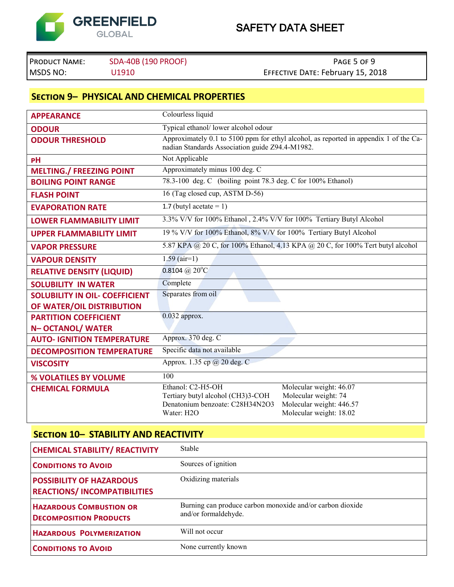

PRODUCT NAME: SDA-40B (190 PROOF) **PAGE 5 OF 9 PAGE 5 OF 9** MSDS NO: U1910 U1910 UNIVERSITY EFFECTIVE DATE: February 15, 2018

# **Section 9– PHYSICAL AND CHEMICAL PROPERTIES**

| <b>APPEARANCE</b>                     | Colourless liquid                                                                                                                        |                          |  |  |
|---------------------------------------|------------------------------------------------------------------------------------------------------------------------------------------|--------------------------|--|--|
| <b>ODOUR</b>                          | Typical ethanol/ lower alcohol odour                                                                                                     |                          |  |  |
| <b>ODOUR THRESHOLD</b>                | Approximately 0.1 to 5100 ppm for ethyl alcohol, as reported in appendix 1 of the Ca-<br>nadian Standards Association guide Z94.4-M1982. |                          |  |  |
| PH                                    | Not Applicable                                                                                                                           |                          |  |  |
| <b>MELTING./ FREEZING POINT</b>       | Approximately minus 100 deg. C                                                                                                           |                          |  |  |
| <b>BOILING POINT RANGE</b>            | 78.3-100 deg. C (boiling point 78.3 deg. C for 100% Ethanol)                                                                             |                          |  |  |
| <b>FLASH POINT</b>                    | 16 (Tag closed cup, ASTM D-56)                                                                                                           |                          |  |  |
| <b>EVAPORATION RATE</b>               | 1.7 (butyl acetate $= 1$ )                                                                                                               |                          |  |  |
| <b>LOWER FLAMMABILITY LIMIT</b>       | 3.3% V/V for 100% Ethanol, 2.4% V/V for 100% Tertiary Butyl Alcohol                                                                      |                          |  |  |
| <b>UPPER FLAMMABILITY LIMIT</b>       | 19 % V/V for 100% Ethanol, 8% V/V for 100% Tertiary Butyl Alcohol                                                                        |                          |  |  |
| <b>VAPOR PRESSURE</b>                 | 5.87 KPA @ 20 C, for 100% Ethanol, 4.13 KPA @ 20 C, for 100% Tert butyl alcohol                                                          |                          |  |  |
| <b>VAPOUR DENSITY</b>                 | $1.59$ (air=1)                                                                                                                           |                          |  |  |
| <b>RELATIVE DENSITY (LIQUID)</b>      | 0.8104 @ $20^{\circ}$ C                                                                                                                  |                          |  |  |
| <b>SOLUBILITY IN WATER</b>            | Complete                                                                                                                                 |                          |  |  |
| <b>SOLUBILITY IN OIL- COEFFICIENT</b> | Separates from oil                                                                                                                       |                          |  |  |
| OF WATER/OIL DISTRIBUTION             |                                                                                                                                          |                          |  |  |
| <b>PARTITION COEFFICIENT</b>          | $0.032$ approx.                                                                                                                          |                          |  |  |
| N-OCTANOL/WATER                       |                                                                                                                                          |                          |  |  |
| <b>AUTO- IGNITION TEMPERATURE</b>     | Approx. 370 deg. C                                                                                                                       |                          |  |  |
| <b>DECOMPOSITION TEMPERATURE</b>      | Specific data not available                                                                                                              |                          |  |  |
| <b>VISCOSITY</b>                      | Approx. 1.35 cp @ 20 deg. C                                                                                                              |                          |  |  |
| % VOLATILES BY VOLUME                 | 100                                                                                                                                      |                          |  |  |
| <b>CHEMICAL FORMULA</b>               | Ethanol: C2-H5-OH                                                                                                                        | Molecular weight: 46.07  |  |  |
|                                       | Tertiary butyl alcohol (CH3)3-COH                                                                                                        | Molecular weight: 74     |  |  |
|                                       | Denatonium benzoate: C28H34N2O3                                                                                                          | Molecular weight: 446.57 |  |  |
|                                       | Water: H <sub>2</sub> O                                                                                                                  | Molecular weight: 18.02  |  |  |

# **Section 10– STABILITY AND REACTIVITY**

| <b>CHEMICAL STABILITY/ REACTIVITY</b>                                 | <b>Stable</b>                                                                     |
|-----------------------------------------------------------------------|-----------------------------------------------------------------------------------|
| <b>CONDITIONS TO AVOID</b>                                            | Sources of ignition                                                               |
| <b>POSSIBILITY OF HAZARDOUS</b><br><b>REACTIONS/INCOMPATIBILITIES</b> | Oxidizing materials                                                               |
| <b>HAZARDOUS COMBUSTION OR</b><br><b>DECOMPOSITION PRODUCTS</b>       | Burning can produce carbon monoxide and/or carbon dioxide<br>and/or formaldehyde. |
| <b>HAZARDOUS POLYMERIZATION</b>                                       | Will not occur                                                                    |
| <b>CONDITIONS TO AVOID</b>                                            | None currently known                                                              |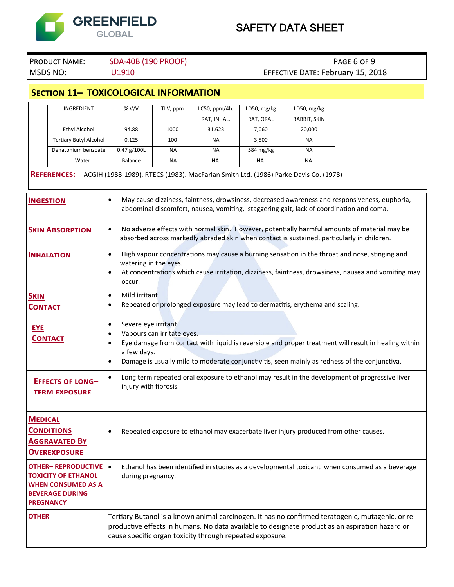

# PRODUCT NAME: SDA-40B (190 PROOF) PAGE 6 OF 9 MSDS NO: U1910 U1910 UNIVERSITY EFFECTIVE DATE: February 15, 2018

**Section 11– TOXICOLOGICAL INFORMATION**

|                               | INGREDIENT                                                                                                                                                                                                                                                                             | %V/V                                                                                                                                                                                                                                                                                              | TLV, ppm  | LC50, ppm/4h. | LD50, mg/kg | LD50, mg/kg                                                                         |  |
|-------------------------------|----------------------------------------------------------------------------------------------------------------------------------------------------------------------------------------------------------------------------------------------------------------------------------------|---------------------------------------------------------------------------------------------------------------------------------------------------------------------------------------------------------------------------------------------------------------------------------------------------|-----------|---------------|-------------|-------------------------------------------------------------------------------------|--|
|                               |                                                                                                                                                                                                                                                                                        |                                                                                                                                                                                                                                                                                                   |           | RAT, INHAL.   | RAT, ORAL   | RABBIT, SKIN                                                                        |  |
|                               | <b>Ethyl Alcohol</b>                                                                                                                                                                                                                                                                   | 94.88                                                                                                                                                                                                                                                                                             | 1000      | 31,623        | 7,060       | 20,000                                                                              |  |
|                               | <b>Tertiary Butyl Alcohol</b>                                                                                                                                                                                                                                                          | 0.125                                                                                                                                                                                                                                                                                             | 100       | NA            | 3,500       | NA                                                                                  |  |
|                               | Denatonium benzoate                                                                                                                                                                                                                                                                    | $0.47$ g/100L                                                                                                                                                                                                                                                                                     | <b>NA</b> | <b>NA</b>     | 584 mg/kg   | <b>NA</b>                                                                           |  |
|                               | Water                                                                                                                                                                                                                                                                                  | Balance                                                                                                                                                                                                                                                                                           | <b>NA</b> | <b>NA</b>     | ΝA          | ΝA                                                                                  |  |
|                               | <b>REFERENCES:</b>                                                                                                                                                                                                                                                                     |                                                                                                                                                                                                                                                                                                   |           |               |             | ACGIH (1988-1989), RTECS (1983). MacFarlan Smith Ltd. (1986) Parke Davis Co. (1978) |  |
|                               | May cause dizziness, faintness, drowsiness, decreased awareness and responsiveness, euphoria,<br>$\bullet$<br><b>INGESTION</b><br>abdominal discomfort, nausea, vomiting, staggering gait, lack of coordination and coma.                                                              |                                                                                                                                                                                                                                                                                                   |           |               |             |                                                                                     |  |
|                               | No adverse effects with normal skin. However, potentially harmful amounts of material may be<br><b>SKIN ABSORPTION</b><br>$\bullet$<br>absorbed across markedly abraded skin when contact is sustained, particularly in children.                                                      |                                                                                                                                                                                                                                                                                                   |           |               |             |                                                                                     |  |
|                               | High vapour concentrations may cause a burning sensation in the throat and nose, stinging and<br>$\bullet$<br><b>INHALATION</b><br>watering in the eyes.<br>At concentrations which cause irritation, dizziness, faintness, drowsiness, nausea and vomiting may<br>$\bullet$<br>occur. |                                                                                                                                                                                                                                                                                                   |           |               |             |                                                                                     |  |
| <b>SKIN</b><br><b>CONTACT</b> |                                                                                                                                                                                                                                                                                        | Mild irritant.<br>$\bullet$<br>Repeated or prolonged exposure may lead to dermatitis, erythema and scaling.<br>٠                                                                                                                                                                                  |           |               |             |                                                                                     |  |
| <b>EYE</b>                    | <b>CONTACT</b>                                                                                                                                                                                                                                                                         | Severe eye irritant.<br>٠<br>Vapours can irritate eyes.<br>Eye damage from contact with liquid is reversible and proper treatment will result in healing within<br>٠<br>a few days.<br>Damage is usually mild to moderate conjunctivitis, seen mainly as redness of the conjunctiva.<br>$\bullet$ |           |               |             |                                                                                     |  |
|                               | Long term repeated oral exposure to ethanol may result in the development of progressive liver<br>$\bullet$<br>EFFECTS OF LONG-<br>injury with fibrosis.<br><b>TERM EXPOSURE</b>                                                                                                       |                                                                                                                                                                                                                                                                                                   |           |               |             |                                                                                     |  |
| <b>MEDICAL</b>                | <b>CONDITIONS</b><br><b>AGGRAVATED BY</b><br><b>OVEREXPOSURE</b>                                                                                                                                                                                                                       | Repeated exposure to ethanol may exacerbate liver injury produced from other causes.<br>٠                                                                                                                                                                                                         |           |               |             |                                                                                     |  |
|                               | OTHER-REPRODUCTIVE .<br><b>TOXICITY OF ETHANOL</b><br><b>WHEN CONSUMED AS A</b><br><b>BEVERAGE DURING</b><br><b>PREGNANCY</b>                                                                                                                                                          | Ethanol has been identified in studies as a developmental toxicant when consumed as a beverage<br>during pregnancy.                                                                                                                                                                               |           |               |             |                                                                                     |  |
| <b>OTHER</b>                  |                                                                                                                                                                                                                                                                                        | Tertiary Butanol is a known animal carcinogen. It has no confirmed teratogenic, mutagenic, or re-<br>productive effects in humans. No data available to designate product as an aspiration hazard or<br>cause specific organ toxicity through repeated exposure.                                  |           |               |             |                                                                                     |  |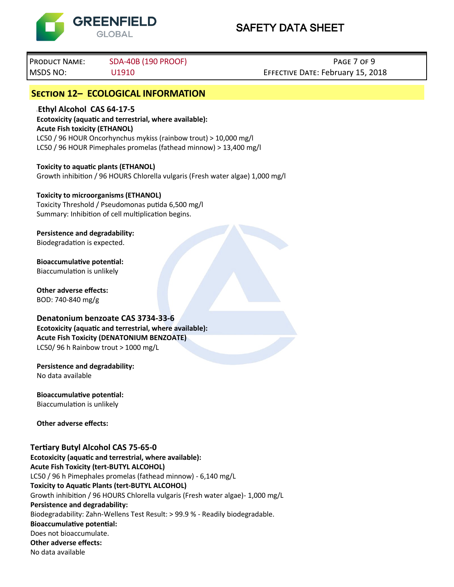

Product Name: SDA-40B (190 PROOF) Page 7 of 9 MSDS NO: U1910 Effective Date: February 15, 2018

# **Section 12– ECOLOGICAL INFORMATION**

<sup>l</sup>**Ethyl Alcohol CAS 64-17-5 Ecotoxicity (aquatic and terrestrial, where available): Acute Fish toxicity (ETHANOL)** LC50 / 96 HOUR Oncorhynchus mykiss (rainbow trout) > 10,000 mg/l LC50 / 96 HOUR Pimephales promelas (fathead minnow) > 13,400 mg/l

**Toxicity to aquatic plants (ETHANOL)** Growth inhibition / 96 HOURS Chlorella vulgaris (Fresh water algae) 1,000 mg/l

#### **Toxicity to microorganisms (ETHANOL)**

Toxicity Threshold / Pseudomonas putida 6,500 mg/l Summary: Inhibition of cell multiplication begins.

**Persistence and degradability:** Biodegradation is expected.

**Bioaccumulative potential:** Biaccumulation is unlikely

**Other adverse effects:** BOD: 740-840 mg/g

### **Denatonium benzoate CAS 3734-33-6**

**Ecotoxicity (aquatic and terrestrial, where available): Acute Fish Toxicity (DENATONIUM BENZOATE)** LC50/ 96 h Rainbow trout > 1000 mg/L

**Persistence and degradability:** No data available

**Bioaccumulative potential:** Biaccumulation is unlikely

**Other adverse effects:**

## **Tertiary Butyl Alcohol CAS 75-65-0**

**Ecotoxicity (aquatic and terrestrial, where available): Acute Fish Toxicity (tert-BUTYL ALCOHOL)** LC50 / 96 h Pimephales promelas (fathead minnow) - 6,140 mg/L **Toxicity to Aquatic Plants (tert-BUTYL ALCOHOL)** Growth inhibition / 96 HOURS Chlorella vulgaris (Fresh water algae)- 1,000 mg/L **Persistence and degradability:** Biodegradability: Zahn-Wellens Test Result: > 99.9 % - Readily biodegradable. **Bioaccumulative potential:** Does not bioaccumulate. **Other adverse effects:** No data available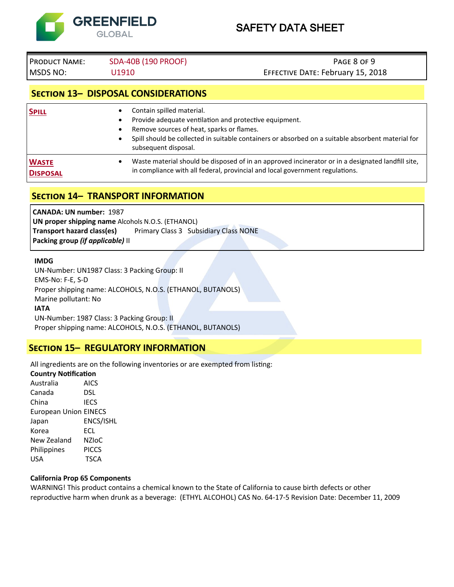

Product Name: SDA-40B (190 PROOF) Page 8 of 9 MSDS NO: U1910 Effective Date: February 15, 2018

# **Section 13– DISPOSAL CONSIDERATIONS**

| <b>SPILL</b>                    | Contain spilled material.<br>$\bullet$<br>Provide adequate ventilation and protective equipment.<br>٠<br>Remove sources of heat, sparks or flames.<br>٠<br>Spill should be collected in suitable containers or absorbed on a suitable absorbent material for<br>$\bullet$<br>subsequent disposal. |
|---------------------------------|---------------------------------------------------------------------------------------------------------------------------------------------------------------------------------------------------------------------------------------------------------------------------------------------------|
| <b>WASTE</b><br><b>DISPOSAL</b> | Waste material should be disposed of in an approved incinerator or in a designated landfill site,<br>$\bullet$<br>in compliance with all federal, provincial and local government regulations.                                                                                                    |

# **Section 14– TRANSPORT INFORMATION**

**CANADA: UN number:** 1987 **UN proper shipping name** Alcohols N.O.S. (ETHANOL) **Transport hazard class(es)** Primary Class 3 Subsidiary Class NONE **Packing group** *(if applicable)* II

#### **IMDG**

UN-Number: UN1987 Class: 3 Packing Group: II EMS-No: F-E, S-D Proper shipping name: ALCOHOLS, N.O.S. (ETHANOL, BUTANOLS) Marine pollutant: No **IATA** UN-Number: 1987 Class: 3 Packing Group: II Proper shipping name: ALCOHOLS, N.O.S. (ETHANOL, BUTANOLS)

## **Section 15– REGULATORY INFORMATION**

All ingredients are on the following inventories or are exempted from listing:

### **Country Notification**

Australia AICS Canada DSL China IECS European Union EINECS Japan ENCS/ISHL Korea ECL New Zealand NZIoC Philippines PICCS USA TSCA

#### **California Prop 65 Components**

WARNING! This product contains a chemical known to the State of California to cause birth defects or other reproductive harm when drunk as a beverage: (ETHYL ALCOHOL) CAS No. 64-17-5 Revision Date: December 11, 2009